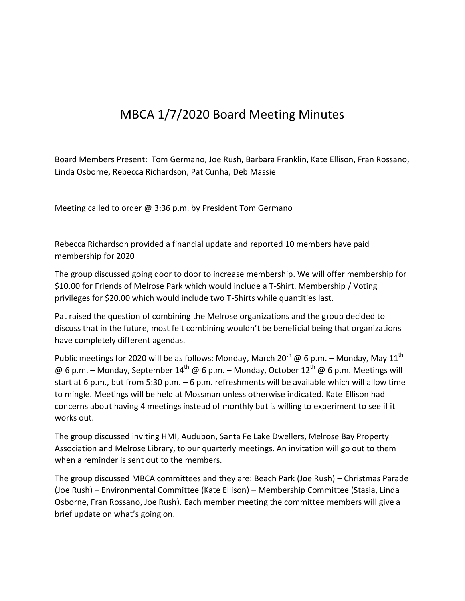## MBCA 1/7/2020 Board Meeting Minutes

Board Members Present: Tom Germano, Joe Rush, Barbara Franklin, Kate Ellison, Fran Rossano, Linda Osborne, Rebecca Richardson, Pat Cunha, Deb Massie

Meeting called to order @ 3:36 p.m. by President Tom Germano

Rebecca Richardson provided a financial update and reported 10 members have paid membership for 2020

The group discussed going door to door to increase membership. We will offer membership for \$10.00 for Friends of Melrose Park which would include a T-Shirt. Membership / Voting privileges for \$20.00 which would include two T-Shirts while quantities last.

Pat raised the question of combining the Melrose organizations and the group decided to discuss that in the future, most felt combining wouldn't be beneficial being that organizations have completely different agendas.

Public meetings for 2020 will be as follows: Monday, March 20<sup>th</sup> @ 6 p.m. – Monday, May 11<sup>th</sup> @ 6 p.m. – Monday, September  $14^{th}$  @ 6 p.m. – Monday, October  $12^{th}$  @ 6 p.m. Meetings will start at 6 p.m., but from 5:30 p.m. – 6 p.m. refreshments will be available which will allow time to mingle. Meetings will be held at Mossman unless otherwise indicated. Kate Ellison had concerns about having 4 meetings instead of monthly but is willing to experiment to see if it works out.

The group discussed inviting HMI, Audubon, Santa Fe Lake Dwellers, Melrose Bay Property Association and Melrose Library, to our quarterly meetings. An invitation will go out to them when a reminder is sent out to the members.

The group discussed MBCA committees and they are: Beach Park (Joe Rush) – Christmas Parade (Joe Rush) – Environmental Committee (Kate Ellison) – Membership Committee (Stasia, Linda Osborne, Fran Rossano, Joe Rush). Each member meeting the committee members will give a brief update on what's going on.